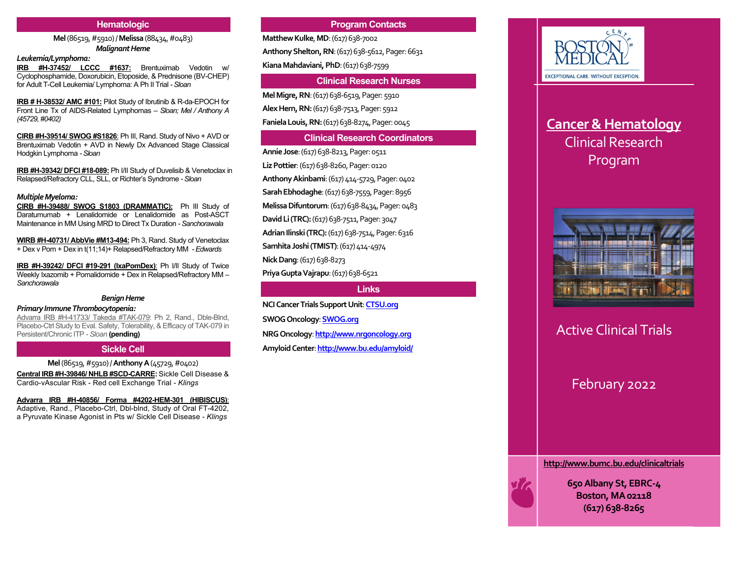## **Hematologic**

**Mel**(86519, #5910) / **Melissa**(88434, #0483) *Malignant Heme*

## *Leukemia/Lymphoma:*

**IRB #H-37452/ LCCC #1637:** Brentuximab Vedotin w/ Cyclophosphamide, Doxorubicin, Etoposide, & Prednisone (BV-CHEP) for Adult T-Cell Leukemia/ Lymphoma: A Ph II Trial *-Sloan*

**IRB # H-38532/ AMC #101:** Pilot Study of Ibrutinib & R-da-EPOCH for Front Line Tx of AIDS-Related Lymphomas *– Sloan; Mel / Anthony A (45729, #0402)*

**CIRB #H-39514/ SWOG #S1826**: Ph III, Rand. Study of Nivo + AVD or Brentuximab Vedotin + AVD in Newly Dx Advanced Stage Classical Hodgkin Lymphoma *-Sloan*

**IRB #H-39342/ DFCI #18-089:** Ph I/II Study of Duvelisib & Venetoclax in Relapsed/Refractory CLL, SLL, or Richter's Syndrome *-Sloan*

#### *Multiple Myeloma:*

**CIRB #H-39488/ SWOG S1803 (DRAMMATIC):** Ph III Study of Daratumumab + Lenalidomide or Lenalidomide as Post-ASCT Maintenance in MM Using MRD to Direct Tx Duration *-Sanchorawala*

**WIRB #H-40731/ AbbVie #M13-494:** Ph 3, Rand. Study of Venetoclax + Dex v Pom + Dex in t(11;14)+ Relapsed/Refractory MM *-Edwards*

**IRB #H-39242/ DFCI #19-291 (IxaPomDex)**: Ph I/II Study of Twice Weekly Ixazomib + Pomalidomide + Dex in Relapsed/Refractory MM *– Sanchorawala*

## *Benign Heme*

## *Primary ImmuneThrombocytopenia:*

Advarra IRB #H-41733/ Takeda #TAK-079: Ph 2, Rand., Dble-Blnd, Placebo-Ctrl Study to Eval. Safety, Tolerability, & Efficacy of TAK-079 in Persistent/Chronic ITP *- Sloan* **(pending)**

## **Sickle Cell**

**Mel**(86519, #5910) / **AnthonyA**(45729, #0402)

**Central IRB #H-39846/ NHLB #SCD-CARRE:** Sickle Cell Disease & Cardio-vAscular Risk - Red cell Exchange Trial *- Klings*

**Advarra IRB #H-40856/ Forma #4202-HEM-301 (HIBISCUS)**: Adaptive, Rand., Placebo-Ctrl, Dbl-blnd, Study of Oral FT-4202, a Pyruvate Kinase Agonist in Pts w/ Sickle Cell Disease *- Klings*

## **Program Contacts**

**Matthew Kulke, MD: (617) 638-7002** 

**Anthony Shelton, RN**: (617) 638-5612, Pager: 6631

**Kiana Mahdaviani, PhD**: (617) 638-7599

## **Clinical Research Nurses**

**Mel Migre, RN**: (617) 638-6519, Pager: 5910 **Alex Hern, RN:**(617) 638-7513, Pager: 5912 **Faniela Louis, RN:**(617) 638-8274, Pager: 0045

## **Clinical Research Coordinators**

**Annie Jose**: (617) 638-8213, Pager: 0511 **Liz Pottier**: (617) 638-8260, Pager: 0120 **Anthony Akinbami**: (617) 414-5729, Pager: 0402 **Sarah Ebhodaghe**:(617) 638-7559, Pager: 8956 **Melissa Difuntorum**:(617) 638-8434, Pager: 0483 **David Li(TRC):**(617) 638-7511, Pager: 3047 **Adrian Ilinski(TRC):**(617) 638-7514, Pager: 6316 **Samhita Joshi(TMIST)**: (617) 414-4974 **Nick Dang**: (617) 638-8273

**Priya Gupta Vajrapu**: (617) 638-6521

## **Links**

**NCI Cancer Trials Support Unit**: **CTSU.org SWOG Oncology**: **SWOG.org NRG Oncology**: **http://www.nrgoncology.org Amyloid Center**: **http://www.bu.edu/amyloid/**



# **Cancer & Hematology** Clinical Research Program



Active Clinical Trials

## February 2022

**http://www.bumc.bu.edu/clinicaltrials**



**650 Albany St, EBRC-4 Boston, MA 02118 (617) 638-8265**